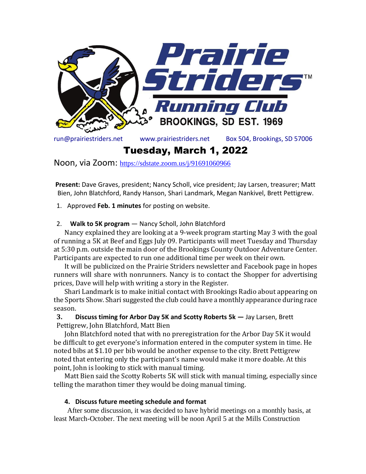

Tuesday, March 1, 2022

Noon, via Zoom: <https://sdstate.zoom.us/j/91691060966>

**Present:** Dave Graves, president; Nancy Scholl, vice president; Jay Larsen, treasurer; Matt Bien, John Blatchford, Randy Hanson, Shari Landmark, Megan Nankivel, Brett Pettigrew.

1. Approved **Feb. 1 minutes** for posting on website.

## 2. **Walk to 5K program** — Nancy Scholl, John Blatchford

Nancy explained they are looking at a 9-week program starting May 3 with the goal of running a 5K at Beef and Eggs July 09. Participants will meet Tuesday and Thursday at 5:30 p.m. outside the main door of the Brookings County Outdoor Adventure Center. Participants are expected to run one additional time per week on their own.

It will be publicized on the Prairie Striders newsletter and Facebook page in hopes runners will share with nonrunners. Nancy is to contact the Shopper for advertising prices, Dave will help with writing a story in the Register.

Shari Landmark is to make initial contact with Brookings Radio about appearing on the Sports Show. Shari suggested the club could have a monthly appearance during race season.

# **3. Discuss timing for Arbor Day 5K and Scotty Roberts 5k —** Jay Larsen, Brett Pettigrew, John Blatchford, Matt Bien

John Blatchford noted that with no preregistration for the Arbor Day 5K it would be difficult to get everyone's information entered in the computer system in time. He noted bibs at \$1.10 per bib would be another expense to the city. Brett Pettigrew noted that entering only the participant's name would make it more doable. At this point, John is looking to stick with manual timing.

Matt Bien said the Scotty Roberts 5K will stick with manual timing, especially since telling the marathon timer they would be doing manual timing.

### **4. Discuss future meeting schedule and format**

After some discussion, it was decided to have hybrid meetings on a monthly basis, at least March-October. The next meeting will be noon April 5 at the Mills Construction